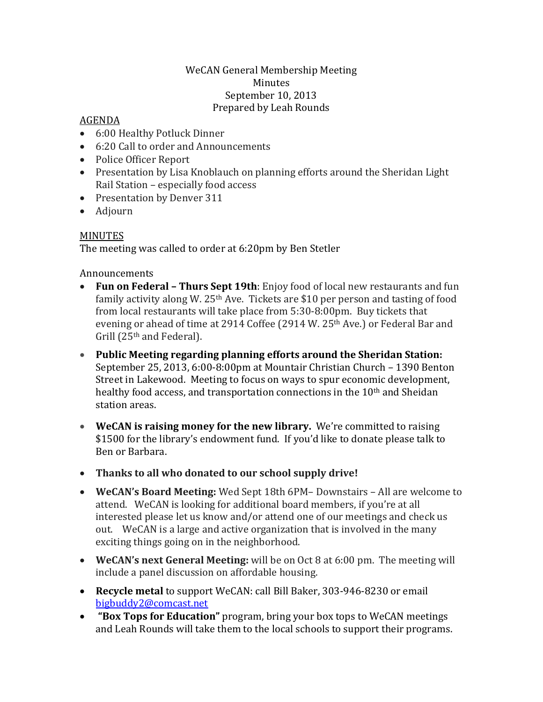## WeCAN General Membership Meeting Minutes September 10, 2013 Prepared by Leah Rounds

## AGENDA

- 6:00 Healthy Potluck Dinner
- 6:20 Call to order and Announcements
- Police Officer Report
- Presentation by Lisa Knoblauch on planning efforts around the Sheridan Light Rail Station – especially food access
- Presentation by Denver 311
- Adjourn

## MINUTES

The meeting was called to order at 6:20pm by Ben Stetler

## Announcements

- **Fun on Federal – Thurs Sept 19th**: Enjoy food of local new restaurants and fun family activity along W. 25th Ave. Tickets are \$10 per person and tasting of food from local restaurants will take place from 5:30-8:00pm. Buy tickets that evening or ahead of time at 2914 Coffee (2914 W. 25<sup>th</sup> Ave.) or Federal Bar and Grill (25th and Federal).
- **Public Meeting regarding planning efforts around the Sheridan Station:** September 25, 2013, 6:00-8:00pm at Mountair Christian Church – 1390 Benton Street in Lakewood. Meeting to focus on ways to spur economic development, healthy food access, and transportation connections in the 10<sup>th</sup> and Sheidan station areas.
- **WeCAN is raising money for the new library.** We're committed to raising \$1500 for the library's endowment fund. If you'd like to donate please talk to Ben or Barbara.
- **Thanks to all who donated to our school supply drive!**
- **WeCAN's Board Meeting:** Wed Sept 18th 6PM– Downstairs All are welcome to attend. WeCAN is looking for additional board members, if you're at all interested please let us know and/or attend one of our meetings and check us out. WeCAN is a large and active organization that is involved in the many exciting things going on in the neighborhood.
- **WeCAN's next General Meeting:** will be on Oct 8 at 6:00 pm. The meeting will include a panel discussion on affordable housing.
- **Recycle metal** to support WeCAN: call Bill Baker, 303-946-8230 or email [bigbuddy2@comcast.net](mailto:bigbuddy2@comcast.net)
- **"Box Tops for Education"** program, bring your box tops to WeCAN meetings and Leah Rounds will take them to the local schools to support their programs.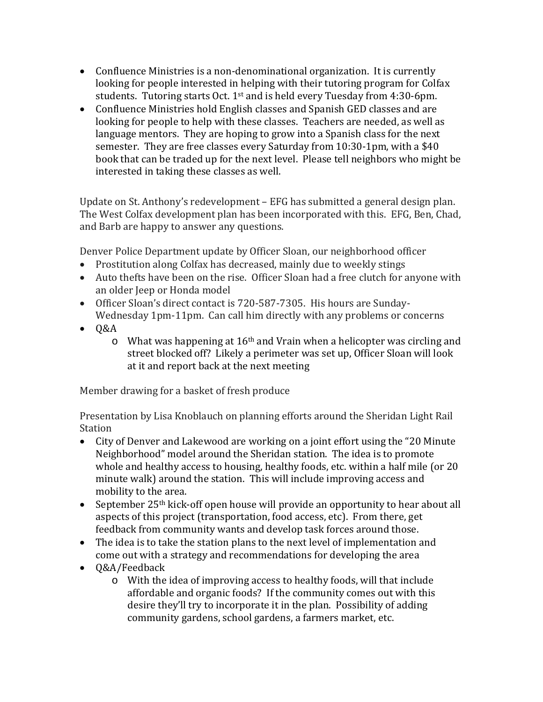- Confluence Ministries is a non-denominational organization. It is currently looking for people interested in helping with their tutoring program for Colfax students. Tutoring starts Oct.  $1<sup>st</sup>$  and is held every Tuesday from 4:30-6pm.
- Confluence Ministries hold English classes and Spanish GED classes and are looking for people to help with these classes. Teachers are needed, as well as language mentors. They are hoping to grow into a Spanish class for the next semester. They are free classes every Saturday from 10:30-1pm, with a \$40 book that can be traded up for the next level. Please tell neighbors who might be interested in taking these classes as well.

Update on St. Anthony's redevelopment – EFG has submitted a general design plan. The West Colfax development plan has been incorporated with this. EFG, Ben, Chad, and Barb are happy to answer any questions.

Denver Police Department update by Officer Sloan, our neighborhood officer

- Prostitution along Colfax has decreased, mainly due to weekly stings
- Auto thefts have been on the rise. Officer Sloan had a free clutch for anyone with an older Jeep or Honda model
- Officer Sloan's direct contact is 720-587-7305. His hours are Sunday-Wednesday 1pm-11pm. Can call him directly with any problems or concerns
- $\bullet$  Q&A
	- $\circ$  What was happening at 16<sup>th</sup> and Vrain when a helicopter was circling and street blocked off? Likely a perimeter was set up, Officer Sloan will look at it and report back at the next meeting

Member drawing for a basket of fresh produce

Presentation by Lisa Knoblauch on planning efforts around the Sheridan Light Rail Station

- City of Denver and Lakewood are working on a joint effort using the "20 Minute Neighborhood" model around the Sheridan station. The idea is to promote whole and healthy access to housing, healthy foods, etc. within a half mile (or 20 minute walk) around the station. This will include improving access and mobility to the area.
- September 25<sup>th</sup> kick-off open house will provide an opportunity to hear about all aspects of this project (transportation, food access, etc). From there, get feedback from community wants and develop task forces around those.
- The idea is to take the station plans to the next level of implementation and come out with a strategy and recommendations for developing the area
- Q&A/Feedback
	- o With the idea of improving access to healthy foods, will that include affordable and organic foods? If the community comes out with this desire they'll try to incorporate it in the plan. Possibility of adding community gardens, school gardens, a farmers market, etc.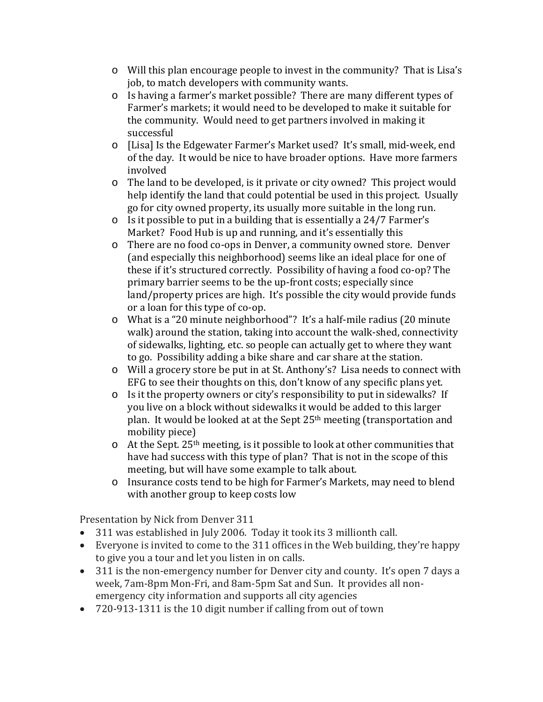- o Will this plan encourage people to invest in the community? That is Lisa's job, to match developers with community wants.
- o Is having a farmer's market possible? There are many different types of Farmer's markets; it would need to be developed to make it suitable for the community. Would need to get partners involved in making it successful
- o [Lisa] Is the Edgewater Farmer's Market used? It's small, mid-week, end of the day. It would be nice to have broader options. Have more farmers involved
- o The land to be developed, is it private or city owned? This project would help identify the land that could potential be used in this project. Usually go for city owned property, its usually more suitable in the long run.
- o Is it possible to put in a building that is essentially a 24/7 Farmer's Market? Food Hub is up and running, and it's essentially this
- o There are no food co-ops in Denver, a community owned store. Denver (and especially this neighborhood) seems like an ideal place for one of these if it's structured correctly. Possibility of having a food co-op? The primary barrier seems to be the up-front costs; especially since land/property prices are high. It's possible the city would provide funds or a loan for this type of co-op.
- o What is a "20 minute neighborhood"? It's a half-mile radius (20 minute walk) around the station, taking into account the walk-shed, connectivity of sidewalks, lighting, etc. so people can actually get to where they want to go. Possibility adding a bike share and car share at the station.
- o Will a grocery store be put in at St. Anthony's? Lisa needs to connect with EFG to see their thoughts on this, don't know of any specific plans yet.
- o Is it the property owners or city's responsibility to put in sidewalks? If you live on a block without sidewalks it would be added to this larger plan. It would be looked at at the Sept 25th meeting (transportation and mobility piece)
- $\circ$  At the Sept. 25<sup>th</sup> meeting, is it possible to look at other communities that have had success with this type of plan? That is not in the scope of this meeting, but will have some example to talk about.
- o Insurance costs tend to be high for Farmer's Markets, may need to blend with another group to keep costs low

Presentation by Nick from Denver 311

- 311 was established in July 2006. Today it took its 3 millionth call.
- Everyone is invited to come to the 311 offices in the Web building, they're happy to give you a tour and let you listen in on calls.
- 311 is the non-emergency number for Denver city and county. It's open 7 days a week, 7am-8pm Mon-Fri, and 8am-5pm Sat and Sun. It provides all nonemergency city information and supports all city agencies
- 720-913-1311 is the 10 digit number if calling from out of town